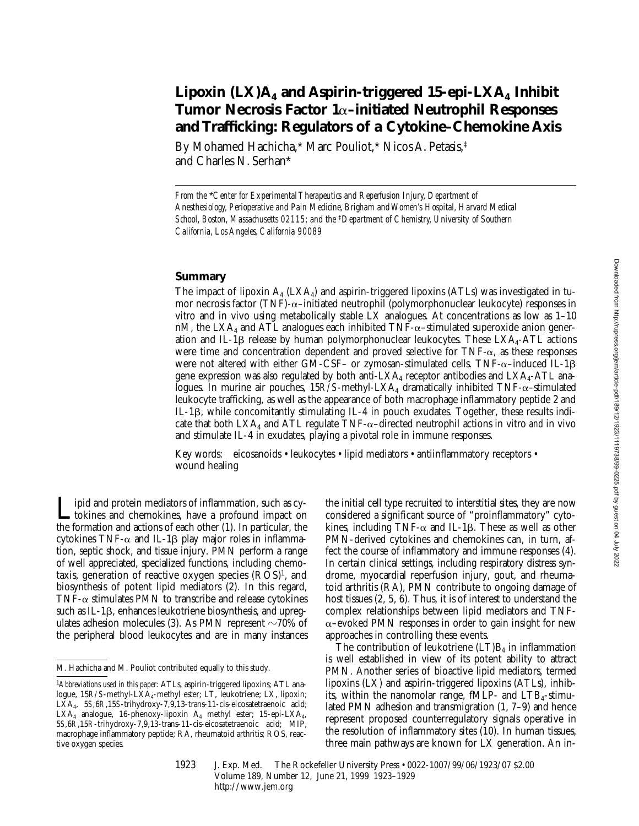# Lipoxin  $(LX)A_4$  and Aspirin-triggered 15-epi-LX $A_4$  Inhibit **Tumor Necrosis Factor 1**a**–initiated Neutrophil Responses and Trafficking: Regulators of a Cytokine–Chemokine Axis**

By Mohamed Hachicha,\* Marc Pouliot,\* Nicos A. Petasis,‡ and Charles N. Serhan\*

*From the* \**Center for Experimental Therapeutics and Reperfusion Injury, Department of Anesthesiology, Perioperative and Pain Medicine, Brigham and Women's Hospital, Harvard Medical School, Boston, Massachusetts 02115; and the* ‡*Department of Chemistry, University of Southern California, Los Angeles, California 90089*

### **Summary**

The impact of lipoxin  $A_4$  (LX $A_4$ ) and aspirin-triggered lipoxins (ATLs) was investigated in tumor necrosis factor (TNF)- $\alpha$ -initiated neutrophil (polymorphonuclear leukocyte) responses in vitro and in vivo using metabolically stable LX analogues. At concentrations as low as  $1-10$ nM, the  $LXA<sub>4</sub>$  and ATL analogues each inhibited TNF- $\alpha$ -stimulated superoxide anion generation and IL-1 $\beta$  release by human polymorphonuclear leukocytes. These LXA<sub>4</sub>-ATL actions were time and concentration dependent and proved selective for  $TNF-\alpha$ , as these responses were not altered with either GM-CSF– or zymosan-stimulated cells. TNF- $\alpha$ –induced IL-1 $\beta$ gene expression was also regulated by both anti-LXA<sub>4</sub> receptor antibodies and LXA<sub>4</sub>-ATL analogues. In murine air pouches,  $15R/S$ -methyl-LXA<sub>4</sub> dramatically inhibited TNF- $\alpha$ -stimulated leukocyte trafficking, as well as the appearance of both macrophage inflammatory peptide 2 and IL-1b, while concomitantly stimulating IL-4 in pouch exudates. Together, these results indicate that both  $LXA_4$  and ATL regulate  $TNF-\alpha$ –directed neutrophil actions in vitro *and* in vivo and stimulate IL-4 in exudates, playing a pivotal role in immune responses.

Key words: eicosanoids • leukocytes • lipid mediators • antiinflammatory receptors • wound healing

Lipid and protein mediators of inflammation, such as cy-<br>tokines and chemokines, have a profound impact on<br>the formation and estions of seek other (1). In particular, the the formation and actions of each other (1). In particular, the cytokines TNF- $\alpha$  and IL-1 $\beta$  play major roles in inflammation, septic shock, and tissue injury. PMN perform a range of well appreciated, specialized functions, including chemotaxis, generation of reactive oxygen species  $(ROS)^1$ , and biosynthesis of potent lipid mediators (2). In this regard, TNF- $\alpha$  stimulates PMN to transcribe and release cytokines such as IL-1 $\beta$ , enhances leukotriene biosynthesis, and upregulates adhesion molecules (3). As PMN represent  $\sim$ 70% of the peripheral blood leukocytes and are in many instances

the initial cell type recruited to interstitial sites, they are now considered a significant source of "proinflammatory" cytokines, including TNF- $\alpha$  and IL-1 $\beta$ . These as well as other PMN-derived cytokines and chemokines can, in turn, affect the course of inflammatory and immune responses (4). In certain clinical settings, including respiratory distress syndrome, myocardial reperfusion injury, gout, and rheumatoid arthritis (RA), PMN contribute to ongoing damage of host tissues (2, 5, 6). Thus, it is of interest to understand the complex relationships between lipid mediators and TNF- $\alpha$ –evoked PMN responses in order to gain insight for new approaches in controlling these events.

The contribution of leukotriene  $(LT)B<sub>4</sub>$  in inflammation is well established in view of its potent ability to attract PMN. Another series of bioactive lipid mediators, termed lipoxins (LX) and aspirin-triggered lipoxins (ATLs), inhibits, within the nanomolar range, fMLP- and  $LTB<sub>4</sub>$ -stimulated PMN adhesion and transmigration (1, 7–9) and hence represent proposed counterregulatory signals operative in the resolution of inflammatory sites (10). In human tissues, three main pathways are known for LX generation. An in-

M. Hachicha and M. Pouliot contributed equally to this study.

<sup>1</sup>*Abbreviations used in this paper:* ATLs, aspirin-triggered lipoxins; ATL analogue, 15*R/S*-methyl-LXA<sub>4</sub>-methyl ester; LT, leukotriene; LX, lipoxin; LXA4, 5*S,*6*R*,15*S*-trihydroxy-7,9,13-trans-11-cis-eicosatetraenoic acid; LXA<sub>4</sub> analogue, 16-phenoxy-lipoxin A<sub>4</sub> methyl ester; 15-epi-LXA<sub>4</sub>, 5*S*,6*R*,15*R*-trihydroxy-7,9,13-trans-11-cis-eicosatetraenoic acid; MIP, macrophage inflammatory peptide; RA, rheumatoid arthritis; ROS, reactive oxygen species.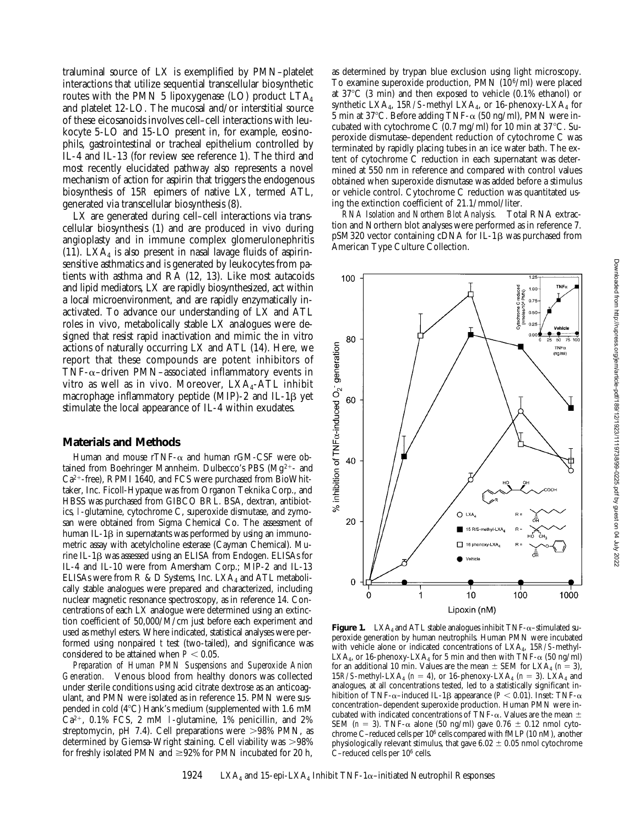traluminal source of LX is exemplified by PMN–platelet interactions that utilize sequential transcellular biosynthetic routes with the PMN 5 lipoxygenase (LO) product  $LTA<sub>4</sub>$ and platelet 12-LO. The mucosal and/or interstitial source of these eicosanoids involves cell–cell interactions with leukocyte 5-LO and 15-LO present in, for example, eosinophils, gastrointestinal or tracheal epithelium controlled by IL-4 and IL-13 (for review see reference 1). The third and most recently elucidated pathway also represents a novel mechanism of action for aspirin that triggers the endogenous biosynthesis of 15*R* epimers of native LX, termed ATL, generated via transcellular biosynthesis (8).

LX are generated during cell–cell interactions via transcellular biosynthesis (1) and are produced in vivo during angioplasty and in immune complex glomerulonephritis (11). LX $A_4$  is also present in nasal lavage fluids of aspirinsensitive asthmatics and is generated by leukocytes from patients with asthma and RA (12, 13). Like most autacoids and lipid mediators, LX are rapidly biosynthesized, act within a local microenvironment, and are rapidly enzymatically inactivated. To advance our understanding of LX and ATL roles in vivo, metabolically stable LX analogues were designed that resist rapid inactivation and mimic the in vitro actions of naturally occurring LX and ATL (14). Here, we report that these compounds are potent inhibitors of TNF- $\alpha$ –driven PMN–associated inflammatory events in vitro as well as in vivo. Moreover,  $LXA<sub>4</sub>-ATL$  inhibit macrophage inflammatory peptide (MIP)-2 and IL-1 $\beta$  yet stimulate the local appearance of IL-4 within exudates.

#### **Materials and Methods**

Human and mouse  $rTNF-\alpha$  and human  $rGM-CSF$  were obtained from Boehringer Mannheim. Dulbecco's PBS ( $Mg^{2+}$ - and  $Ca^{2+}$ -free), RPMI 1640, and FCS were purchased from BioWhittaker, Inc. Ficoll-Hypaque was from Organon Teknika Corp., and HBSS was purchased from GIBCO BRL. BSA, dextran, antibiotics, l-glutamine, cytochrome C, superoxide dismutase, and zymosan were obtained from Sigma Chemical Co. The assessment of human IL-1 $\beta$  in supernatants was performed by using an immunometric assay with acetylcholine esterase (Cayman Chemical). Murine IL-1b was assessed using an ELISA from Endogen. ELISAs for IL-4 and IL-10 were from Amersham Corp.; MIP-2 and IL-13 ELISAs were from R & D Systems, Inc.  $LXA<sub>4</sub>$  and ATL metabolically stable analogues were prepared and characterized, including nuclear magnetic resonance spectroscopy, as in reference 14. Concentrations of each LX analogue were determined using an extinction coefficient of 50,000/M/cm just before each experiment and used as methyl esters. Where indicated, statistical analyses were performed using nonpaired *t* test (two-tailed), and significance was considered to be attained when  $P < 0.05$ .

*Preparation of Human PMN Suspensions and Superoxide Anion Generation.* Venous blood from healthy donors was collected under sterile conditions using acid citrate dextrose as an anticoagulant, and PMN were isolated as in reference 15. PMN were suspended in cold  $(4^{\circ}C)$  Hank's medium (supplemented with 1.6 mM  $Ca^{2+}$ , 0.1% FCS, 2 mM 1-glutamine, 1% penicillin, and 2% streptomycin, pH 7.4). Cell preparations were  $>98\%$  PMN, as determined by Giemsa-Wright staining. Cell viability was  $>98\%$ for freshly isolated PMN and  $\geq$ 92% for PMN incubated for 20 h, as determined by trypan blue exclusion using light microscopy. To examine superoxide production, PMN (106/ml) were placed at  $37^{\circ}$ C (3 min) and then exposed to vehicle (0.1% ethanol) or synthetic LXA<sub>4</sub>, 15*R/S*-methyl LXA<sub>4</sub>, or 16-phenoxy-LXA<sub>4</sub> for  $\overline{5}$  min at 37°C. Before adding TNF- $\alpha$  (50 ng/ml), PMN were incubated with cytochrome C  $(0.7 \text{ mg/ml})$  for 10 min at 37°C. Superoxide dismutase–dependent reduction of cytochrome C was terminated by rapidly placing tubes in an ice water bath. The extent of cytochrome C reduction in each supernatant was determined at 550 nm in reference and compared with control values obtained when superoxide dismutase was added before a stimulus or vehicle control. Cytochrome C reduction was quantitated using the extinction coefficient of 21.1/mmol/liter.

*RNA Isolation and Northern Blot Analysis.* Total RNA extraction and Northern blot analyses were performed as in reference 7.  $pSM320$  vector containing cDNA for IL-1 $\beta$  was purchased from American Type Culture Collection.



**Figure 1.** LXA<sub>4</sub> and ATL stable analogues inhibit  $TNF-\alpha$ -stimulated superoxide generation by human neutrophils. Human PMN were incubated with vehicle alone or indicated concentrations of LXA4, 15*R/S*-methyl-LXA<sub>4</sub>, or 16-phenoxy-LXA<sub>4</sub> for 5 min and then with TNF- $\alpha$  (50 ng/ml) for an additional 10 min. Values are the mean  $\pm$  SEM for LXA<sub>4</sub> ( $n = 3$ ), 15*R/S*-methyl-LXA<sub>4</sub> ( $n = 4$ ), or 16-phenoxy-LXA<sub>4</sub> ( $n = 3$ ). LXA<sub>4</sub> and analogues, at all concentrations tested, led to a statistically significant inhibition of TNF- $\alpha$ -induced IL-1 $\beta$  appearance (*P* < 0.01). Inset: TNF- $\alpha$ concentration–dependent superoxide production. Human PMN were incubated with indicated concentrations of TNF- $\alpha$ . Values are the mean  $\pm$ SEM ( $n = 3$ ). TNF- $\alpha$  alone (50 ng/ml) gave 0.76  $\pm$  0.12 nmol cytochrome C–reduced cells per 106 cells compared with fMLP (10 nM), another physiologically relevant stimulus, that gave  $6.02 \pm 0.05$  nmol cytochrome C–reduced cells per 106 cells.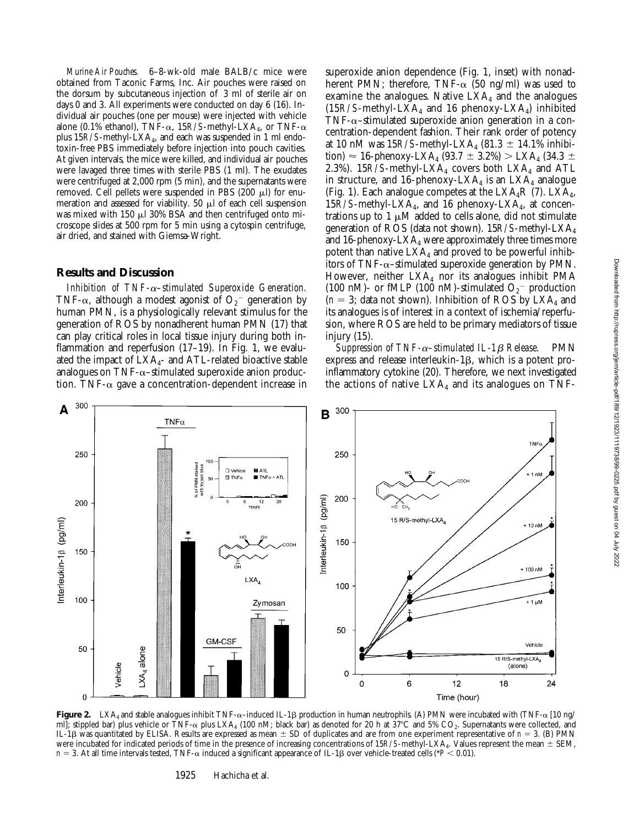*Murine Air Pouches.* 6–8-wk-old male BALB/c mice were obtained from Taconic Farms, Inc. Air pouches were raised on the dorsum by subcutaneous injection of 3 ml of sterile air on days 0 and 3. All experiments were conducted on day 6 (16). Individual air pouches (one per mouse) were injected with vehicle alone (0.1% ethanol), TNF- $\alpha$ , 15*R/S*-methyl-LXA<sub>4</sub>, or TNF- $\alpha$ plus 15*R/S*-methyl-LXA4, and each was suspended in 1 ml endotoxin-free PBS immediately before injection into pouch cavities. At given intervals, the mice were killed, and individual air pouches were lavaged three times with sterile PBS (1 ml). The exudates were centrifuged at 2,000 rpm (5 min), and the supernatants were removed. Cell pellets were suspended in PBS  $(200 \mu)$  for enumeration and assessed for viability. 50  $\mu$ l of each cell suspension was mixed with 150  $\mu$ l 30% BSA and then centrifuged onto microscope slides at 500 rpm for 5 min using a cytospin centrifuge, air dried, and stained with Giemsa-Wright.

#### **Results and Discussion**

*Inhibition of TNF-*a*–stimulated Superoxide Generation.* TNF- $\alpha$ , although a modest agonist of  $\mathrm{O_{2}}^{-}$  generation by human PMN, is a physiologically relevant stimulus for the generation of ROS by nonadherent human PMN (17) that can play critical roles in local tissue injury during both inflammation and reperfusion (17–19). In Fig. 1, we evaluated the impact of  $LXA<sub>4</sub>$ - and ATL-related bioactive stable analogues on  $\text{TNF}-\alpha$ -stimulated superoxide anion production. TNF- $\alpha$  gave a concentration-dependent increase in superoxide anion dependence (Fig. 1, inset) with nonadherent PMN; therefore, TNF- $\alpha$  (50 ng/ml) was used to examine the analogues. Native  $LXA<sub>4</sub>$  and the analogues  $(15R/S$ -methyl-LXA<sub>4</sub> and 16 phenoxy-LXA<sub>4</sub>) inhibited TNF- $\alpha$ -stimulated superoxide anion generation in a concentration-dependent fashion. Their rank order of potency at 10 nM was  $15R/S$ -methyl-LXA<sub>4</sub> (81.3  $\pm$  14.1% inhibition)  $\approx$  16-phenoxy-LXA<sub>4</sub> (93.7  $\pm$  3.2%)  $>$  LXA<sub>4</sub> (34.3  $\pm$ 2.3%). 15 $R/S$ -methyl-LXA<sub>4</sub> covers both LXA<sub>4</sub> and ATL in structure, and 16-phenoxy-LXA<sub>4</sub> is an LXA<sub>4</sub> analogue (Fig. 1). Each analogue competes at the  $LXA_4R$  (7).  $LXA_4$ , 15*R/S*-methyl-LXA4, and 16 phenoxy-LXA4, at concentrations up to 1  $\mu$ M added to cells alone, did not stimulate generation of ROS (data not shown). 15*R/S*-methyl-LXA4 and 16-phenoxy-LXA<sub>4</sub> were approximately three times more potent than native  $LXA<sub>4</sub>$  and proved to be powerful inhibitors of TNF- $\alpha$ –stimulated superoxide generation by PMN. However, neither  $LXA<sub>4</sub>$  nor its analogues inhibit PMA (100 nM)- or fMLP (100 nM)-stimulated  $O_2^-$  production  $(n = 3;$  data not shown). Inhibition of ROS by LXA<sub>4</sub> and its analogues is of interest in a context of ischemia/reperfusion, where ROS are held to be primary mediators of tissue injury (15).

*Suppression of TNF-*a*–stimulated IL-1*b *Release.* PMN express and release interleukin- $1\beta$ , which is a potent proinflammatory cytokine (20). Therefore, we next investigated the actions of native  $LXA<sub>4</sub>$  and its analogues on TNF-



**Figure 2.** LXA<sub>4</sub> and stable analogues inhibit TNF- $\alpha$ –induced IL-1 $\beta$  production in human neutrophils. (A) PMN were incubated with (TNF- $\alpha$  [10 ng/ ml]; stippled bar) plus vehicle or TNF- $\alpha$  plus LXA<sub>4</sub> (100 nM; black bar) as denoted for 20 h at 37°C and 5% CO<sub>2</sub>. Supernatants were collected, and IL-1 $\beta$  was quantitated by ELISA. Results are expressed as mean  $\pm$  SD of duplicates and are from one experiment representative of  $n = 3$ . (B) PMN were incubated for indicated periods of time in the presence of increasing concentrations of 15*R/S*-methyl-LXA<sub>4</sub>. Values represent the mean  $\pm$  SEM,  $n = 3$ . At all time intervals tested, TNF- $\alpha$  induced a significant appearance of IL-1 $\beta$  over vehicle-treated cells (\**P* < 0.01).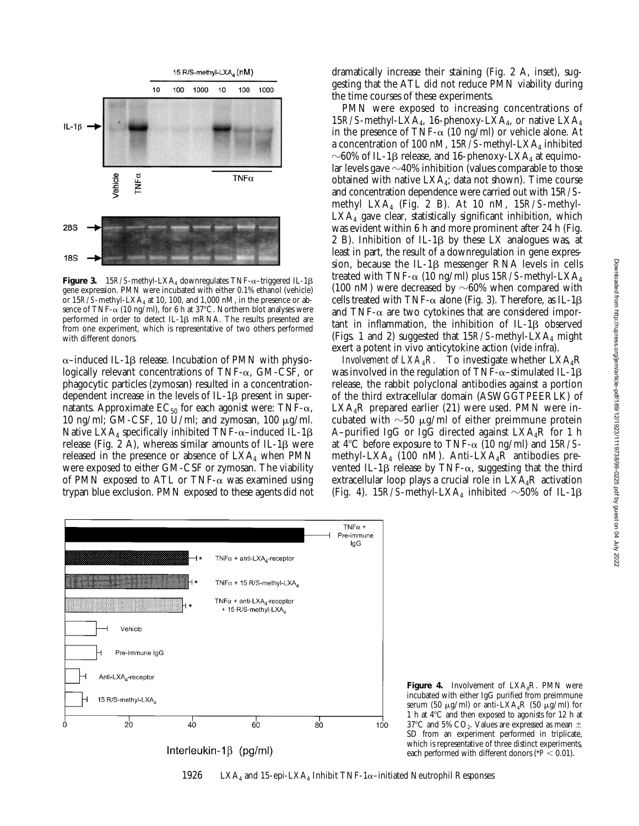

**Figure 3.** 15*R/S*-methyl-LXA<sub>4</sub> downregulates TNF- $\alpha$ -triggered IL-1 $\beta$ gene expression. PMN were incubated with either 0.1% ethanol (vehicle) or  $15R/S$ -methyl-LXA<sub>4</sub> at 10, 100, and 1,000 nM, in the presence or absence of TNF- $\alpha$  (10 ng/ml), for 6 h at 37°C. Northern blot analyses were performed in order to detect IL-1ß mRNA. The results presented are from one experiment, which is representative of two others performed with different donors.

 $\alpha$ –induced IL-1 $\beta$  release. Incubation of PMN with physiologically relevant concentrations of TNF-a, GM-CSF, or phagocytic particles (zymosan) resulted in a concentrationdependent increase in the levels of  $IL-1\beta$  present in supernatants. Approximate  $EC_{50}$  for each agonist were: TNF- $\alpha$ , 10 ng/ml; GM-CSF, 10 U/ml; and zymosan, 100  $\mu$ g/ml. Native  $LXA_4$  specifically inhibited TNF- $\alpha$ –induced IL-1 $\beta$ release (Fig. 2 A), whereas similar amounts of IL-1 $\beta$  were released in the presence or absence of  $LXA<sub>4</sub>$  when PMN were exposed to either GM-CSF or zymosan. The viability of PMN exposed to ATL or TNF- $\alpha$  was examined using trypan blue exclusion. PMN exposed to these agents did not dramatically increase their staining (Fig. 2 A, inset), suggesting that the ATL did not reduce PMN viability during the time courses of these experiments.

PMN were exposed to increasing concentrations of 15*R/S*-methyl-LXA4, 16-phenoxy-LXA4, or native LXA4 in the presence of TNF- $\alpha$  (10 ng/ml) or vehicle alone. At a concentration of 100 nM, 15R/S-methyl-LXA<sub>4</sub> inhibited  $\sim$ 60% of IL-1 $\beta$  release, and 16-phenoxy-LXA<sub>4</sub> at equimolar levels gave  $\sim$ 40% inhibition (values comparable to those obtained with native  $LXA<sub>4</sub>$ ; data not shown). Time course and concentration dependence were carried out with 15*R/S*methyl LXA4 (Fig. 2 B). At 10 nM, 15*R/S*-methyl- $LXA<sub>4</sub>$  gave clear, statistically significant inhibition, which was evident within 6 h and more prominent after 24 h (Fig. 2 B). Inhibition of IL-1 $\beta$  by these LX analogues was, at least in part, the result of a downregulation in gene expression, because the IL-1 $\beta$  messenger RNA levels in cells treated with TNF- $\alpha$  (10 ng/ml) plus 15*R/S*-methyl-LXA<sub>4</sub> (100 nM) were decreased by  $\sim 60\%$  when compared with cells treated with TNF- $\alpha$  alone (Fig. 3). Therefore, as IL-1 $\beta$ and TNF- $\alpha$  are two cytokines that are considered important in inflammation, the inhibition of  $IL-1\beta$  observed (Figs. 1 and 2) suggested that  $15R/S$ -methyl-LXA<sub>4</sub> might exert a potent in vivo anticytokine action (vide infra).

*Involvement of*  $LXA_{A}R$ *.* To investigate whether  $LXA_{A}R$ was involved in the regulation of TNF- $\alpha$ -stimulated IL-1 $\beta$ release, the rabbit polyclonal antibodies against a portion of the third extracellular domain (ASWGGTPEERLK) of  $LXA_4R$  prepared earlier (21) were used. PMN were incubated with  $\sim$ 50  $\mu$ g/ml of either preimmune protein A–purified IgG or IgG directed against  $LXA_4R$  for 1 h at  $4^{\circ}$ C before exposure to TNF- $\alpha$  (10 ng/ml) and 15*R/S*methyl-LXA4 (100 nM). Anti-LXA4R antibodies prevented IL-1 $\beta$  release by TNF- $\alpha$ , suggesting that the third extracellular loop plays a crucial role in  $LXA_4R$  activation (Fig. 4).  $15R/S$ -methyl-LXA<sub>4</sub> inhibited  $\sim$ 50% of IL-1 $\beta$ 



**Figure 4.** Involvement of LXA<sub>4</sub>R. PMN were incubated with either IgG purified from preimmune serum (50  $\mu$ g/ml) or anti-LXA<sub>4</sub>R (50  $\mu$ g/ml) for 1 h at  $4^{\circ}$ C and then exposed to agonists for 12 h at 37°C and 5%  $CO<sub>2</sub>$ . Values are expressed as mean  $\pm$ SD from an experiment performed in triplicate, which is representative of three distinct experiments, each performed with different donors ( $P < 0.01$ ).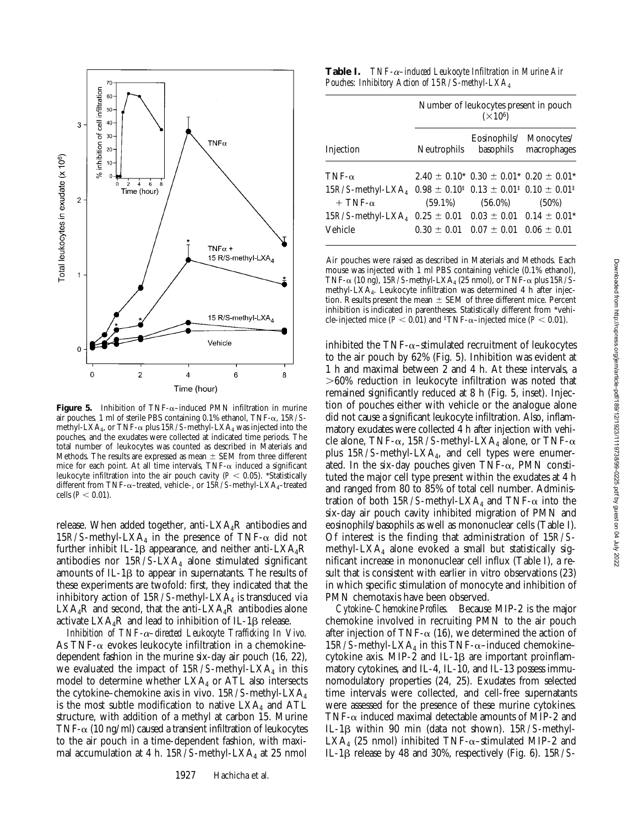

**Figure 5.** Inhibition of  $TNF-\alpha$ –induced PMN infiltration in murine air pouches. 1 ml of sterile PBS containing 0.1% ethanol, TNF-a, 15*R/S*methyl-LXA<sub>4</sub>, or TNF- $\alpha$  plus 15*R/S*-methyl-LXA<sub>4</sub> was injected into the pouches, and the exudates were collected at indicated time periods. The total number of leukocytes was counted as described in Materials and Methods. The results are expressed as mean  $\pm$  SEM from three different mice for each point. At all time intervals,  $TNF-\alpha$  induced a significant leukocyte infiltration into the air pouch cavity ( $P < 0.05$ ). \*Statistically different from TNF-α-treated, vehicle-, or 15R/S-methyl-LXA<sub>4</sub>-treated cells  $(P < 0.01)$ .

release. When added together, anti- $LXA<sub>4</sub>R$  antibodies and 15 $R/S$ -methyl-LXA<sub>4</sub> in the presence of TNF- $\alpha$  did not further inhibit IL-1 $\beta$  appearance, and neither anti-LXA<sub>4</sub>R antibodies nor  $15R/S-LXA<sub>4</sub>$  alone stimulated significant amounts of IL-1 $\beta$  to appear in supernatants. The results of these experiments are twofold: first, they indicated that the inhibitory action of  $15R/S$ -methyl-LXA<sub>4</sub> is transduced via  $LXA_4R$  and second, that the anti- $LXA_4R$  antibodies alone activate  $LXA<sub>4</sub>R$  and lead to inhibition of IL-1 $\beta$  release.

*Inhibition of TNF-*a*–directed Leukocyte Trafficking In Vivo.* As TNF- $\alpha$  evokes leukocyte infiltration in a chemokinedependent fashion in the murine six-day air pouch (16, 22), we evaluated the impact of  $15R/S$ -methyl-LXA<sub>4</sub> in this model to determine whether  $LXA<sub>4</sub>$  or ATL also intersects the cytokine–chemokine axis in vivo. 15*R/S*-methyl-LXA4 is the most subtle modification to native  $LXA<sub>4</sub>$  and ATL structure, with addition of a methyl at carbon 15. Murine TNF- $\alpha$  (10 ng/ml) caused a transient infiltration of leukocytes to the air pouch in a time-dependent fashion, with maximal accumulation at 4 h.  $15R/S$ -methyl-LXA<sub>4</sub> at 25 nmol

**Table I.** *TNF-*a*–induced Leukocyte Infiltration in Murine Air Pouches: Inhibitory Action of 15R/S-methyl-LXA4*

|                                                                                                                                    | Number of leukocytes present in pouch<br>$(\times 10^6)$ |                                                                                |                                                  |
|------------------------------------------------------------------------------------------------------------------------------------|----------------------------------------------------------|--------------------------------------------------------------------------------|--------------------------------------------------|
| Injection                                                                                                                          | Neutrophils                                              |                                                                                | Eosinophils/ Monocytes/<br>basophils macrophages |
| TNF- $\alpha$<br>$15R/S$ -methyl-LXA <sub>4</sub> $0.98 \pm 0.10^{1}$ $0.13 \pm 0.01^{1}$ $0.10 \pm 0.01^{1}$<br>$+$ TNF- $\alpha$ |                                                          | $2.40 \pm 0.10$ * $0.30 \pm 0.01$ * $0.20 \pm 0.01$ *<br>$(59.1\%)$ $(56.0\%)$ | $(50\%)$                                         |
| $15R/S$ -methyl-LXA <sub>4</sub> $0.25 \pm 0.01$ $0.03 \pm 0.01$ $0.14 \pm 0.01$ <sup>*</sup><br>Vehicle                           |                                                          | $0.30 \pm 0.01$ $0.07 \pm 0.01$ $0.06 \pm 0.01$                                |                                                  |

Air pouches were raised as described in Materials and Methods. Each mouse was injected with 1 ml PBS containing vehicle (0.1% ethanol), TNF- $\alpha$  (10 ng), 15*R/S*-methyl-LXA<sub>4</sub> (25 nmol), or TNF- $\alpha$  plus 15*R/S*methyl-LXA4. Leukocyte infiltration was determined 4 h after injection. Results present the mean  $\pm$  SEM of three different mice. Percent inhibition is indicated in parentheses. Statistically different from \*vehicle-injected mice ( $P < 0.01$ ) and <sup>‡</sup>TNF- $\alpha$ -injected mice ( $P < 0.01$ ).

inhibited the  $TNF-\alpha$ -stimulated recruitment of leukocytes to the air pouch by 62% (Fig. 5). Inhibition was evident at 1 h and maximal between 2 and 4 h. At these intervals, a  $>60\%$  reduction in leukocyte infiltration was noted that remained significantly reduced at 8 h (Fig. 5, inset). Injection of pouches either with vehicle or the analogue alone did not cause a significant leukocyte infiltration. Also, inflammatory exudates were collected 4 h after injection with vehicle alone, TNF- $\alpha$ , 15*R/S*-methyl-LXA<sub>4</sub> alone, or TNF- $\alpha$ plus  $15R/S$ -methyl-LXA<sub>4</sub>, and cell types were enumerated. In the six-day pouches given  $TNF-\alpha$ , PMN constituted the major cell type present within the exudates at 4 h and ranged from 80 to 85% of total cell number. Administration of both  $15R/S$ -methyl-LXA<sub>4</sub> and TNF- $\alpha$  into the six-day air pouch cavity inhibited migration of PMN and eosinophils/basophils as well as mononuclear cells (Table I). Of interest is the finding that administration of 15*R/S*methyl-LXA<sub>4</sub> alone evoked a small but statistically significant increase in mononuclear cell influx (Table I), a result that is consistent with earlier in vitro observations (23) in which specific stimulation of monocyte and inhibition of PMN chemotaxis have been observed.

*Cytokine–Chemokine Profiles.* Because MIP-2 is the major chemokine involved in recruiting PMN to the air pouch after injection of TNF- $\alpha$  (16), we determined the action of  $15R/S$ -methyl-LXA<sub>4</sub> in this TNF- $\alpha$ -induced chemokinecytokine axis. MIP-2 and IL-1 $\beta$  are important proinflammatory cytokines, and IL-4, IL-10, and IL-13 possess immunomodulatory properties (24, 25). Exudates from selected time intervals were collected, and cell-free supernatants were assessed for the presence of these murine cytokines. TNF- $\alpha$  induced maximal detectable amounts of MIP-2 and IL-1b within 90 min (data not shown). 15*R/S*-methyl-LXA<sub>4</sub> (25 nmol) inhibited TNF- $\alpha$ –stimulated MIP-2 and IL-1b release by 48 and 30%, respectively (Fig. 6). 15*R/S*-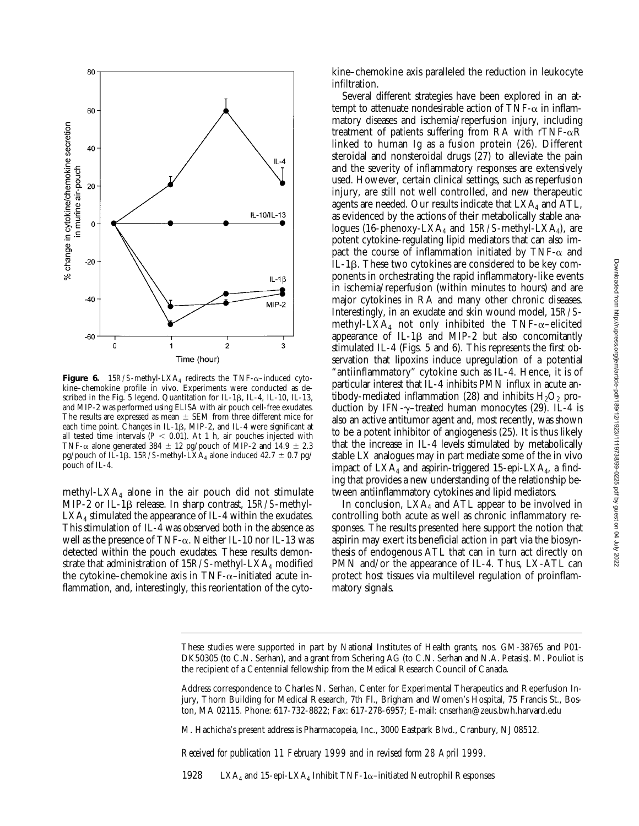

**Figure 6.** 15 $R/S$ -methyl-LXA<sub>4</sub> redirects the TNF- $\alpha$ -induced cytokine–chemokine profile in vivo. Experiments were conducted as described in the Fig. 5 legend. Quantitation for IL-1 $\beta$ , IL-4, IL-10, IL-13, and MIP-2 was performed using ELISA with air pouch cell-free exudates. The results are expressed as mean  $\pm$  SEM from three different mice for each time point. Changes in IL-1<sub>B</sub>, MIP-2, and IL-4 were significant at all tested time intervals  $(P < 0.01)$ . At 1 h, air pouches injected with TNF- $\alpha$  alone generated 384  $\pm$  12 pg/pouch of MIP-2 and 14.9  $\pm$  2.3 pg/pouch of IL-1β. 15 $R$ /S-methyl-LXA<sub>4</sub> alone induced 42.7  $\pm$  0.7 pg/ pouch of IL-4.

methyl-LXA $_4$  alone in the air pouch did not stimulate MIP-2 or IL-1b release. In sharp contrast, 15*R/S*-methyl-LXA<sub>4</sub> stimulated the appearance of IL-4 within the exudates. This stimulation of IL-4 was observed both in the absence as well as the presence of TNF- $\alpha$ . Neither IL-10 nor IL-13 was detected within the pouch exudates. These results demonstrate that administration of 15*R/S*-methyl-LXA<sub>4</sub> modified the cytokine–chemokine axis in TNF- $\alpha$ –initiated acute inflammation, and, interestingly, this reorientation of the cytokine–chemokine axis paralleled the reduction in leukocyte infiltration.

Several different strategies have been explored in an attempt to attenuate nondesirable action of TNF- $\alpha$  in inflammatory diseases and ischemia/reperfusion injury, including treatment of patients suffering from RA with rTNF- $\alpha$ R linked to human Ig as a fusion protein (26). Different steroidal and nonsteroidal drugs (27) to alleviate the pain and the severity of inflammatory responses are extensively used. However, certain clinical settings, such as reperfusion injury, are still not well controlled, and new therapeutic agents are needed. Our results indicate that  $LXA<sub>4</sub>$  and ATL, as evidenced by the actions of their metabolically stable analogues (16-phenoxy-LXA4 and 15*R/S*-methyl-LXA4), are potent cytokine-regulating lipid mediators that can also impact the course of inflammation initiated by TNF- $\alpha$  and IL-1b. These two cytokines are considered to be key components in orchestrating the rapid inflammatory-like events in ischemia/reperfusion (within minutes to hours) and are major cytokines in RA and many other chronic diseases. Interestingly, in an exudate and skin wound model, 15*R/S*methyl-LXA<sub>4</sub> not only inhibited the TNF- $\alpha$ -elicited appearance of IL-1 $\beta$  and MIP-2 but also concomitantly stimulated IL-4 (Figs. 5 and 6). This represents the first observation that lipoxins induce upregulation of a potential "antiinflammatory" cytokine such as IL-4. Hence, it is of particular interest that IL-4 inhibits PMN influx in acute antibody-mediated inflammation (28) and inhibits  $H_2O_2$  production by IFN- $\gamma$ -treated human monocytes (29). IL-4 is also an active antitumor agent and, most recently, was shown to be a potent inhibitor of angiogenesis (25). It is thus likely that the increase in IL-4 levels stimulated by metabolically stable LX analogues may in part mediate some of the in vivo impact of  $LXA<sub>4</sub>$  and aspirin-triggered 15-epi- $LXA<sub>4</sub>$ , a finding that provides a new understanding of the relationship between antiinflammatory cytokines and lipid mediators.

In conclusion,  $LXA<sub>4</sub>$  and ATL appear to be involved in controlling both acute as well as chronic inflammatory responses. The results presented here support the notion that aspirin may exert its beneficial action in part via the biosynthesis of endogenous ATL that can in turn act directly on PMN and/or the appearance of IL-4. Thus, LX-ATL can protect host tissues via multilevel regulation of proinflammatory signals.

M. Hachicha's present address is Pharmacopeia, Inc., 3000 Eastpark Blvd., Cranbury, NJ 08512.

*Received for publication 11 February 1999 and in revised form 28 April 1999.*

1928 LXA<sub>4</sub> and 15-epi-LXA<sub>4</sub> Inhibit TNF-1 $\alpha$ –initiated Neutrophil Responses

These studies were supported in part by National Institutes of Health grants, nos. GM-38765 and P01- DK50305 (to C.N. Serhan), and a grant from Schering AG (to C.N. Serhan and N.A. Petasis). M. Pouliot is the recipient of a Centennial fellowship from the Medical Research Council of Canada.

Address correspondence to Charles N. Serhan, Center for Experimental Therapeutics and Reperfusion Injury, Thorn Building for Medical Research, 7th Fl., Brigham and Women's Hospital, 75 Francis St., Boston, MA 02115. Phone: 617-732-8822; Fax: 617-278-6957; E-mail: cnserhan@zeus.bwh.harvard.edu